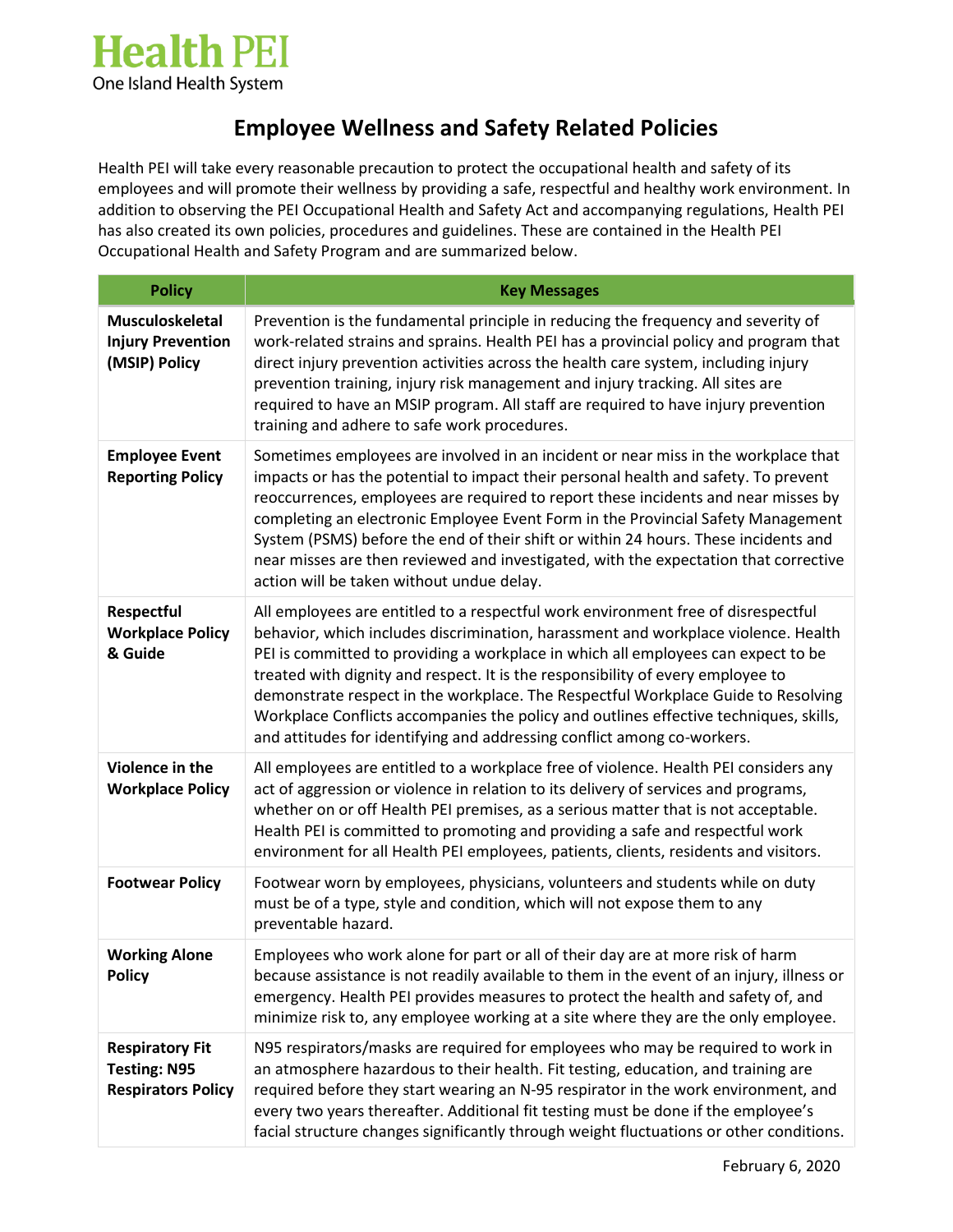

## **Employee Wellness and Safety Related Policies**

Health PEI will take every reasonable precaution to protect the occupational health and safety of its employees and will promote their wellness by providing a safe, respectful and healthy work environment. In addition to observing the PEI Occupational Health and Safety Act and accompanying regulations, Health PEI has also created its own policies, procedures and guidelines. These are contained in the Health PEI Occupational Health and Safety Program and are summarized below.

| <b>Policy</b>                                                              | <b>Key Messages</b>                                                                                                                                                                                                                                                                                                                                                                                                                                                                                                                                                                                      |
|----------------------------------------------------------------------------|----------------------------------------------------------------------------------------------------------------------------------------------------------------------------------------------------------------------------------------------------------------------------------------------------------------------------------------------------------------------------------------------------------------------------------------------------------------------------------------------------------------------------------------------------------------------------------------------------------|
| <b>Musculoskeletal</b><br><b>Injury Prevention</b><br>(MSIP) Policy        | Prevention is the fundamental principle in reducing the frequency and severity of<br>work-related strains and sprains. Health PEI has a provincial policy and program that<br>direct injury prevention activities across the health care system, including injury<br>prevention training, injury risk management and injury tracking. All sites are<br>required to have an MSIP program. All staff are required to have injury prevention<br>training and adhere to safe work procedures.                                                                                                                |
| <b>Employee Event</b><br><b>Reporting Policy</b>                           | Sometimes employees are involved in an incident or near miss in the workplace that<br>impacts or has the potential to impact their personal health and safety. To prevent<br>reoccurrences, employees are required to report these incidents and near misses by<br>completing an electronic Employee Event Form in the Provincial Safety Management<br>System (PSMS) before the end of their shift or within 24 hours. These incidents and<br>near misses are then reviewed and investigated, with the expectation that corrective<br>action will be taken without undue delay.                          |
| Respectful<br><b>Workplace Policy</b><br>& Guide                           | All employees are entitled to a respectful work environment free of disrespectful<br>behavior, which includes discrimination, harassment and workplace violence. Health<br>PEI is committed to providing a workplace in which all employees can expect to be<br>treated with dignity and respect. It is the responsibility of every employee to<br>demonstrate respect in the workplace. The Respectful Workplace Guide to Resolving<br>Workplace Conflicts accompanies the policy and outlines effective techniques, skills,<br>and attitudes for identifying and addressing conflict among co-workers. |
| Violence in the<br><b>Workplace Policy</b>                                 | All employees are entitled to a workplace free of violence. Health PEI considers any<br>act of aggression or violence in relation to its delivery of services and programs,<br>whether on or off Health PEI premises, as a serious matter that is not acceptable.<br>Health PEI is committed to promoting and providing a safe and respectful work<br>environment for all Health PEI employees, patients, clients, residents and visitors.                                                                                                                                                               |
| <b>Footwear Policy</b>                                                     | Footwear worn by employees, physicians, volunteers and students while on duty<br>must be of a type, style and condition, which will not expose them to any<br>preventable hazard.                                                                                                                                                                                                                                                                                                                                                                                                                        |
| <b>Working Alone</b><br><b>Policy</b>                                      | Employees who work alone for part or all of their day are at more risk of harm<br>because assistance is not readily available to them in the event of an injury, illness or<br>emergency. Health PEI provides measures to protect the health and safety of, and<br>minimize risk to, any employee working at a site where they are the only employee.                                                                                                                                                                                                                                                    |
| <b>Respiratory Fit</b><br><b>Testing: N95</b><br><b>Respirators Policy</b> | N95 respirators/masks are required for employees who may be required to work in<br>an atmosphere hazardous to their health. Fit testing, education, and training are<br>required before they start wearing an N-95 respirator in the work environment, and<br>every two years thereafter. Additional fit testing must be done if the employee's<br>facial structure changes significantly through weight fluctuations or other conditions.                                                                                                                                                               |